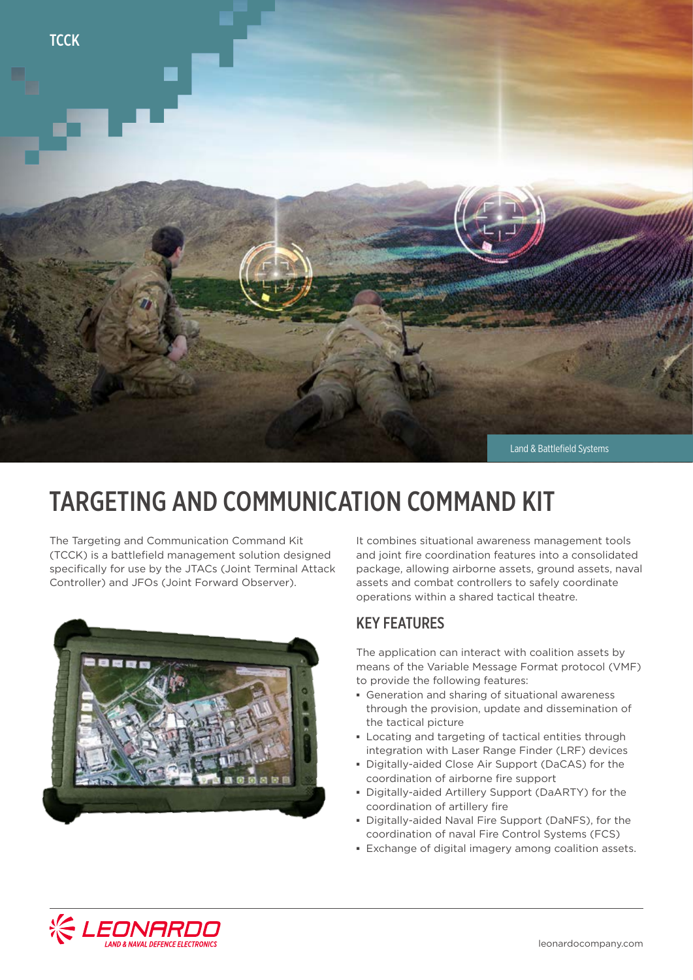

## TARGETING AND COMMUNICATION COMMAND KIT

The Targeting and Communication Command Kit (TCCK) is a battlefield management solution designed specifically for use by the JTACs (Joint Terminal Attack Controller) and JFOs (Joint Forward Observer).



It combines situational awareness management tools and joint fire coordination features into a consolidated package, allowing airborne assets, ground assets, naval assets and combat controllers to safely coordinate operations within a shared tactical theatre.

#### KEY FEATURES

The application can interact with coalition assets by means of the Variable Message Format protocol (VMF) to provide the following features:

- **▪** Generation and sharing of situational awareness through the provision, update and dissemination of the tactical picture
- **▪** Locating and targeting of tactical entities through integration with Laser Range Finder (LRF) devices
- **▪** Digitally-aided Close Air Support (DaCAS) for the coordination of airborne fire support
- **▪** Digitally-aided Artillery Support (DaARTY) for the coordination of artillery fire
- **▪** Digitally-aided Naval Fire Support (DaNFS), for the coordination of naval Fire Control Systems (FCS)
- **▪** Exchange of digital imagery among coalition assets.